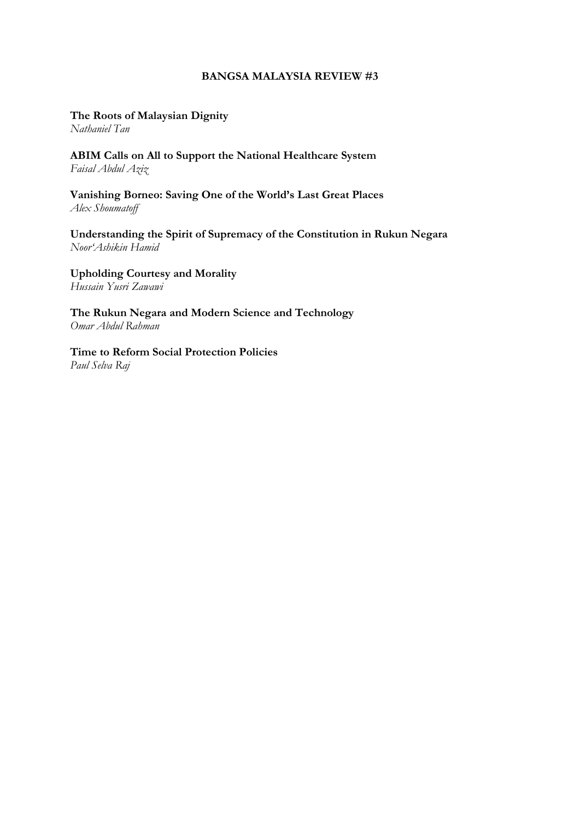#### **BANGSA MALAYSIA REVIEW #3**

**The Roots of Malaysian Dignity**

*Nathaniel Tan*

**ABIM Calls on All to Support the National Healthcare System** *Faisal Abdul Aziz*

**Vanishing Borneo: Saving One of the World's Last Great Places** *Alex Shoumatoff*

**Understanding the Spirit of Supremacy of the Constitution in Rukun Negara** *Noor'Ashikin Hamid*

**Upholding Courtesy and Morality** *Hussain Yusri Zawawi*

**The Rukun Negara and Modern Science and Technology** *Omar Abdul Rahman*

**Time to Reform Social Protection Policies** *Paul Selva Raj*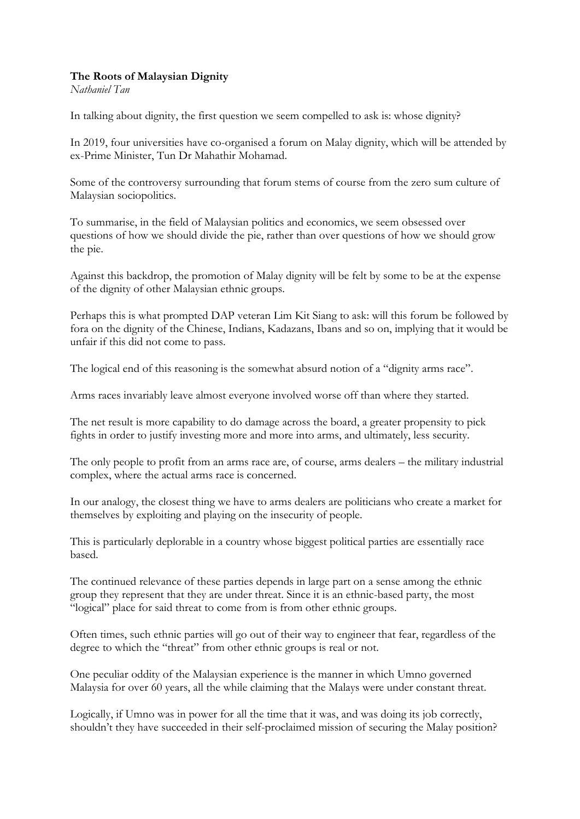### **The Roots of Malaysian Dignity**

*Nathaniel Tan*

In talking about dignity, the first question we seem compelled to ask is: whose dignity?

In 2019, four universities have co-organised a forum on Malay dignity, which will be attended by ex-Prime Minister, Tun Dr Mahathir Mohamad.

Some of the controversy surrounding that forum stems of course from the zero sum culture of Malaysian sociopolitics.

To summarise, in the field of Malaysian politics and economics, we seem obsessed over questions of how we should divide the pie, rather than over questions of how we should grow the pie.

Against this backdrop, the promotion of Malay dignity will be felt by some to be at the expense of the dignity of other Malaysian ethnic groups.

Perhaps this is what prompted DAP veteran Lim Kit Siang to ask: will this forum be followed by fora on the dignity of the Chinese, Indians, Kadazans, Ibans and so on, implying that it would be unfair if this did not come to pass.

The logical end of this reasoning is the somewhat absurd notion of a "dignity arms race".

Arms races invariably leave almost everyone involved worse off than where they started.

The net result is more capability to do damage across the board, a greater propensity to pick fights in order to justify investing more and more into arms, and ultimately, less security.

The only people to profit from an arms race are, of course, arms dealers – the military industrial complex, where the actual arms race is concerned.

In our analogy, the closest thing we have to arms dealers are politicians who create a market for themselves by exploiting and playing on the insecurity of people.

This is particularly deplorable in a country whose biggest political parties are essentially race based.

The continued relevance of these parties depends in large part on a sense among the ethnic group they represent that they are under threat. Since it is an ethnic-based party, the most "logical" place for said threat to come from is from other ethnic groups.

Often times, such ethnic parties will go out of their way to engineer that fear, regardless of the degree to which the "threat" from other ethnic groups is real or not.

One peculiar oddity of the Malaysian experience is the manner in which Umno governed Malaysia for over 60 years, all the while claiming that the Malays were under constant threat.

Logically, if Umno was in power for all the time that it was, and was doing its job correctly, shouldn't they have succeeded in their self-proclaimed mission of securing the Malay position?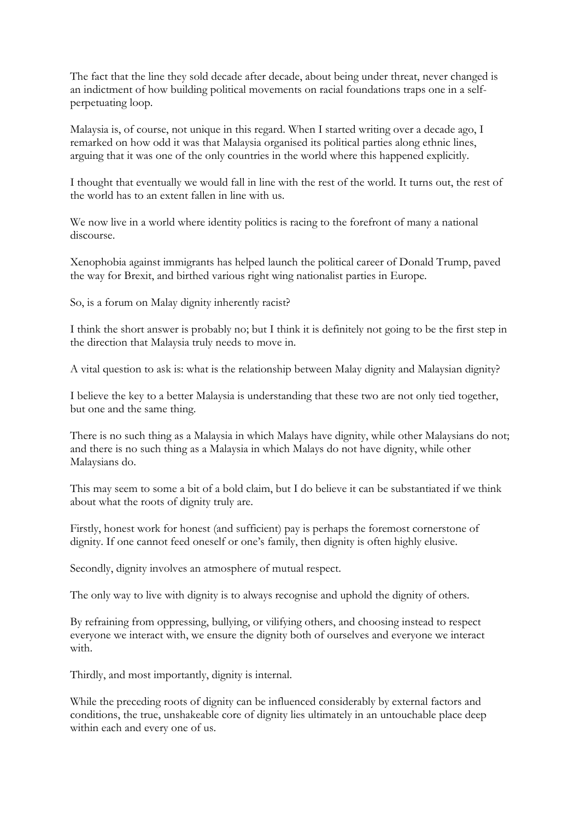The fact that the line they sold decade after decade, about being under threat, never changed is an indictment of how building political movements on racial foundations traps one in a selfperpetuating loop.

Malaysia is, of course, not unique in this regard. When I started writing over a decade ago, I remarked on how odd it was that Malaysia organised its political parties along ethnic lines, arguing that it was one of the only countries in the world where this happened explicitly.

I thought that eventually we would fall in line with the rest of the world. It turns out, the rest of the world has to an extent fallen in line with us.

We now live in a world where identity politics is racing to the forefront of many a national discourse.

Xenophobia against immigrants has helped launch the political career of Donald Trump, paved the way for Brexit, and birthed various right wing nationalist parties in Europe.

So, is a forum on Malay dignity inherently racist?

I think the short answer is probably no; but I think it is definitely not going to be the first step in the direction that Malaysia truly needs to move in.

A vital question to ask is: what is the relationship between Malay dignity and Malaysian dignity?

I believe the key to a better Malaysia is understanding that these two are not only tied together, but one and the same thing.

There is no such thing as a Malaysia in which Malays have dignity, while other Malaysians do not; and there is no such thing as a Malaysia in which Malays do not have dignity, while other Malaysians do.

This may seem to some a bit of a bold claim, but I do believe it can be substantiated if we think about what the roots of dignity truly are.

Firstly, honest work for honest (and sufficient) pay is perhaps the foremost cornerstone of dignity. If one cannot feed oneself or one's family, then dignity is often highly elusive.

Secondly, dignity involves an atmosphere of mutual respect.

The only way to live with dignity is to always recognise and uphold the dignity of others.

By refraining from oppressing, bullying, or vilifying others, and choosing instead to respect everyone we interact with, we ensure the dignity both of ourselves and everyone we interact with.

Thirdly, and most importantly, dignity is internal.

While the preceding roots of dignity can be influenced considerably by external factors and conditions, the true, unshakeable core of dignity lies ultimately in an untouchable place deep within each and every one of us.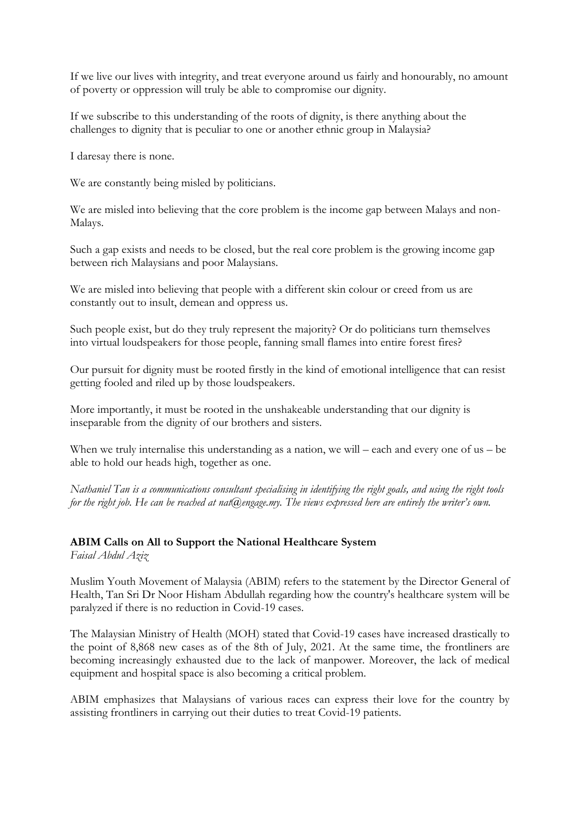If we live our lives with integrity, and treat everyone around us fairly and honourably, no amount of poverty or oppression will truly be able to compromise our dignity.

If we subscribe to this understanding of the roots of dignity, is there anything about the challenges to dignity that is peculiar to one or another ethnic group in Malaysia?

I daresay there is none.

We are constantly being misled by politicians.

We are misled into believing that the core problem is the income gap between Malays and non-Malays.

Such a gap exists and needs to be closed, but the real core problem is the growing income gap between rich Malaysians and poor Malaysians.

We are misled into believing that people with a different skin colour or creed from us are constantly out to insult, demean and oppress us.

Such people exist, but do they truly represent the majority? Or do politicians turn themselves into virtual loudspeakers for those people, fanning small flames into entire forest fires?

Our pursuit for dignity must be rooted firstly in the kind of emotional intelligence that can resist getting fooled and riled up by those loudspeakers.

More importantly, it must be rooted in the unshakeable understanding that our dignity is inseparable from the dignity of our brothers and sisters.

When we truly internalise this understanding as a nation, we will – each and every one of us – be able to hold our heads high, together as one.

*Nathaniel Tan is a communications consultant specialising in identifying the right goals, and using the right tools for the right job. He can be reached at nat@engage.my. The views expressed here are entirely the writer's own.*

# **ABIM Calls on All to Support the National Healthcare System**

*Faisal Abdul Aziz*

Muslim Youth Movement of Malaysia (ABIM) refers to the statement by the Director General of Health, Tan Sri Dr Noor Hisham Abdullah regarding how the country's healthcare system will be paralyzed if there is no reduction in Covid-19 cases.

The Malaysian Ministry of Health (MOH) stated that Covid-19 cases have increased drastically to the point of 8,868 new cases as of the 8th of July, 2021. At the same time, the frontliners are becoming increasingly exhausted due to the lack of manpower. Moreover, the lack of medical equipment and hospital space is also becoming a critical problem.

ABIM emphasizes that Malaysians of various races can express their love for the country by assisting frontliners in carrying out their duties to treat Covid-19 patients.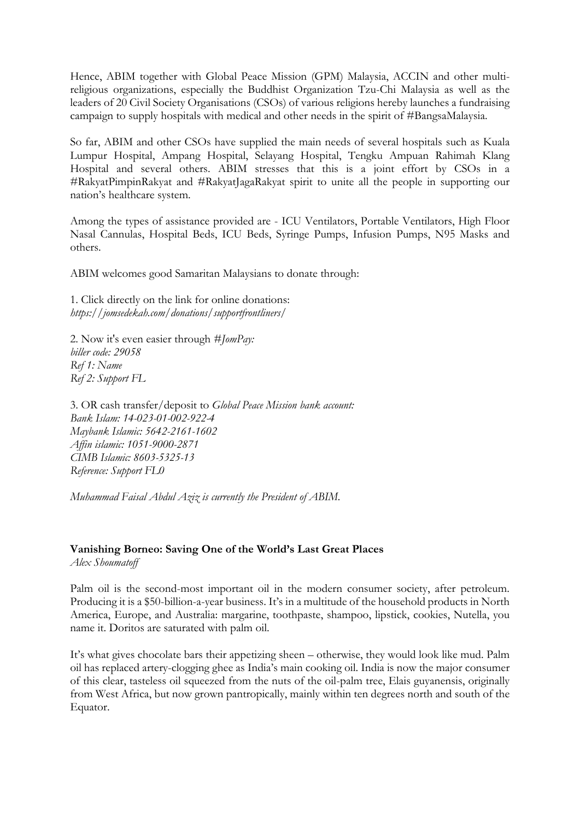Hence, ABIM together with Global Peace Mission (GPM) Malaysia, ACCIN and other multireligious organizations, especially the Buddhist Organization Tzu-Chi Malaysia as well as the leaders of 20 Civil Society Organisations (CSOs) of various religions hereby launches a fundraising campaign to supply hospitals with medical and other needs in the spirit of #BangsaMalaysia.

So far, ABIM and other CSOs have supplied the main needs of several hospitals such as Kuala Lumpur Hospital, Ampang Hospital, Selayang Hospital, Tengku Ampuan Rahimah Klang Hospital and several others. ABIM stresses that this is a joint effort by CSOs in a #RakyatPimpinRakyat and #RakyatJagaRakyat spirit to unite all the people in supporting our nation's healthcare system.

Among the types of assistance provided are - ICU Ventilators, Portable Ventilators, High Floor Nasal Cannulas, Hospital Beds, ICU Beds, Syringe Pumps, Infusion Pumps, N95 Masks and others.

ABIM welcomes good Samaritan Malaysians to donate through:

1. Click directly on the link for online donations: *https://jomsedekah.com/donations/supportfrontliners/*

2. Now it's even easier through *#JomPay: biller code: 29058 Ref 1: Name Ref 2: Support FL*

3. OR cash transfer/deposit to *Global Peace Mission bank account: Bank Islam: 14-023-01-002-922-4 Maybank Islamic: 5642-2161-1602 Affin islamic: 1051-9000-2871 CIMB Islamic: 8603-5325-13 Reference: Support FL0*

*Muhammad Faisal Abdul Aziz is currently the President of ABIM.*

# **Vanishing Borneo: Saving One of the World's Last Great Places**

*Alex Shoumatoff*

Palm oil is the second-most important oil in the modern consumer society, after petroleum. Producing it is a \$50-billion-a-year business. It's in a multitude of the household products in North America, Europe, and Australia: margarine, toothpaste, shampoo, lipstick, cookies, Nutella, you name it. Doritos are saturated with palm oil.

It's what gives chocolate bars their appetizing sheen – otherwise, they would look like mud. Palm oil has replaced artery-clogging ghee as India's main cooking oil. India is now the major consumer of this clear, tasteless oil squeezed from the nuts of the oil-palm tree, Elais guyanensis, originally from West Africa, but now grown pantropically, mainly within ten degrees north and south of the Equator.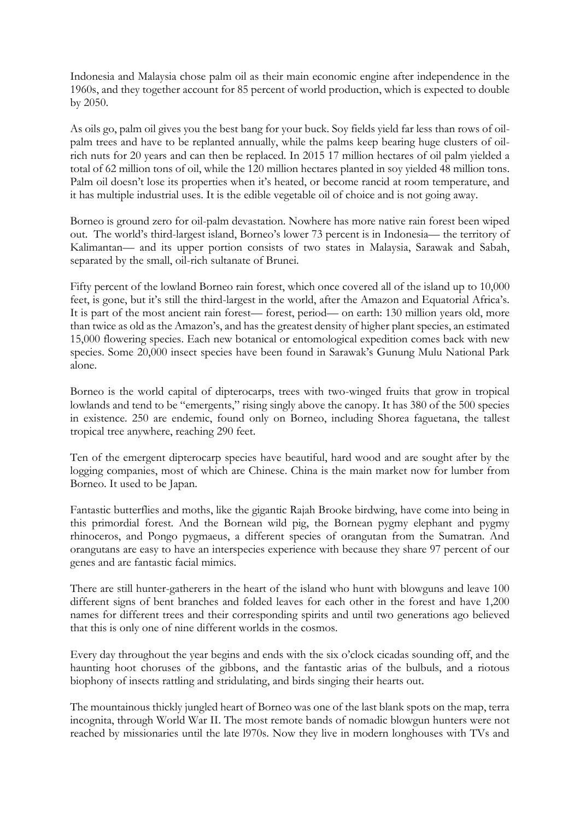Indonesia and Malaysia chose palm oil as their main economic engine after independence in the 1960s, and they together account for 85 percent of world production, which is expected to double by 2050.

As oils go, palm oil gives you the best bang for your buck. Soy fields yield far less than rows of oilpalm trees and have to be replanted annually, while the palms keep bearing huge clusters of oilrich nuts for 20 years and can then be replaced. In 2015 17 million hectares of oil palm yielded a total of 62 million tons of oil, while the 120 million hectares planted in soy yielded 48 million tons. Palm oil doesn't lose its properties when it's heated, or become rancid at room temperature, and it has multiple industrial uses. It is the edible vegetable oil of choice and is not going away.

Borneo is ground zero for oil-palm devastation. Nowhere has more native rain forest been wiped out. The world's third-largest island, Borneo's lower 73 percent is in Indonesia— the territory of Kalimantan— and its upper portion consists of two states in Malaysia, Sarawak and Sabah, separated by the small, oil-rich sultanate of Brunei.

Fifty percent of the lowland Borneo rain forest, which once covered all of the island up to 10,000 feet, is gone, but it's still the third-largest in the world, after the Amazon and Equatorial Africa's. It is part of the most ancient rain forest— forest, period— on earth: 130 million years old, more than twice as old as the Amazon's, and has the greatest density of higher plant species, an estimated 15,000 flowering species. Each new botanical or entomological expedition comes back with new species. Some 20,000 insect species have been found in Sarawak's Gunung Mulu National Park alone.

Borneo is the world capital of dipterocarps, trees with two-winged fruits that grow in tropical lowlands and tend to be "emergents," rising singly above the canopy. It has 380 of the 500 species in existence. 250 are endemic, found only on Borneo, including Shorea faguetana, the tallest tropical tree anywhere, reaching 290 feet.

Ten of the emergent dipterocarp species have beautiful, hard wood and are sought after by the logging companies, most of which are Chinese. China is the main market now for lumber from Borneo. It used to be Japan.

Fantastic butterflies and moths, like the gigantic Rajah Brooke birdwing, have come into being in this primordial forest. And the Bornean wild pig, the Bornean pygmy elephant and pygmy rhinoceros, and Pongo pygmaeus, a different species of orangutan from the Sumatran. And orangutans are easy to have an interspecies experience with because they share 97 percent of our genes and are fantastic facial mimics.

There are still hunter-gatherers in the heart of the island who hunt with blowguns and leave 100 different signs of bent branches and folded leaves for each other in the forest and have 1,200 names for different trees and their corresponding spirits and until two generations ago believed that this is only one of nine different worlds in the cosmos.

Every day throughout the year begins and ends with the six o'clock cicadas sounding off, and the haunting hoot choruses of the gibbons, and the fantastic arias of the bulbuls, and a riotous biophony of insects rattling and stridulating, and birds singing their hearts out.

The mountainous thickly jungled heart of Borneo was one of the last blank spots on the map, terra incognita, through World War II. The most remote bands of nomadic blowgun hunters were not reached by missionaries until the late l970s. Now they live in modern longhouses with TVs and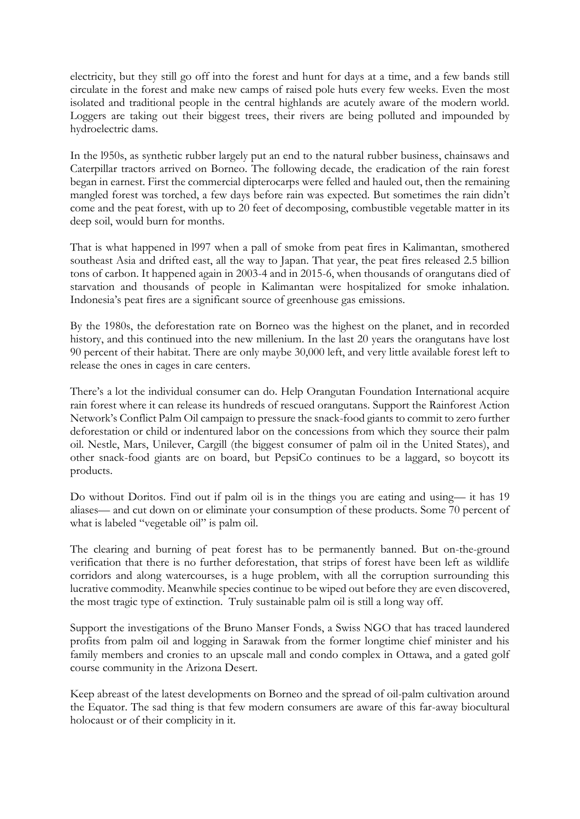electricity, but they still go off into the forest and hunt for days at a time, and a few bands still circulate in the forest and make new camps of raised pole huts every few weeks. Even the most isolated and traditional people in the central highlands are acutely aware of the modern world. Loggers are taking out their biggest trees, their rivers are being polluted and impounded by hydroelectric dams.

In the l950s, as synthetic rubber largely put an end to the natural rubber business, chainsaws and Caterpillar tractors arrived on Borneo. The following decade, the eradication of the rain forest began in earnest. First the commercial dipterocarps were felled and hauled out, then the remaining mangled forest was torched, a few days before rain was expected. But sometimes the rain didn't come and the peat forest, with up to 20 feet of decomposing, combustible vegetable matter in its deep soil, would burn for months.

That is what happened in l997 when a pall of smoke from peat fires in Kalimantan, smothered southeast Asia and drifted east, all the way to Japan. That year, the peat fires released 2.5 billion tons of carbon. It happened again in 2003-4 and in 2015-6, when thousands of orangutans died of starvation and thousands of people in Kalimantan were hospitalized for smoke inhalation. Indonesia's peat fires are a significant source of greenhouse gas emissions.

By the 1980s, the deforestation rate on Borneo was the highest on the planet, and in recorded history, and this continued into the new millenium. In the last 20 years the orangutans have lost 90 percent of their habitat. There are only maybe 30,000 left, and very little available forest left to release the ones in cages in care centers.

There's a lot the individual consumer can do. Help Orangutan Foundation International acquire rain forest where it can release its hundreds of rescued orangutans. Support the Rainforest Action Network's Conflict Palm Oil campaign to pressure the snack-food giants to commit to zero further deforestation or child or indentured labor on the concessions from which they source their palm oil. Nestle, Mars, Unilever, Cargill (the biggest consumer of palm oil in the United States), and other snack-food giants are on board, but PepsiCo continues to be a laggard, so boycott its products.

Do without Doritos. Find out if palm oil is in the things you are eating and using— it has 19 aliases— and cut down on or eliminate your consumption of these products. Some 70 percent of what is labeled "vegetable oil" is palm oil.

The clearing and burning of peat forest has to be permanently banned. But on-the-ground verification that there is no further deforestation, that strips of forest have been left as wildlife corridors and along watercourses, is a huge problem, with all the corruption surrounding this lucrative commodity. Meanwhile species continue to be wiped out before they are even discovered, the most tragic type of extinction. Truly sustainable palm oil is still a long way off.

Support the investigations of the Bruno Manser Fonds, a Swiss NGO that has traced laundered profits from palm oil and logging in Sarawak from the former longtime chief minister and his family members and cronies to an upscale mall and condo complex in Ottawa, and a gated golf course community in the Arizona Desert.

Keep abreast of the latest developments on Borneo and the spread of oil-palm cultivation around the Equator. The sad thing is that few modern consumers are aware of this far-away biocultural holocaust or of their complicity in it.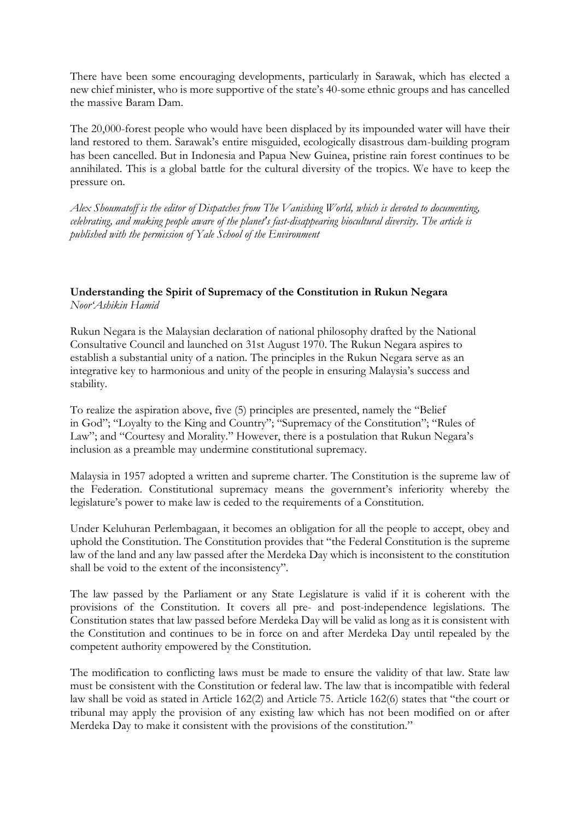There have been some encouraging developments, particularly in Sarawak, which has elected a new chief minister, who is more supportive of the state's 40-some ethnic groups and has cancelled the massive Baram Dam.

The 20,000-forest people who would have been displaced by its impounded water will have their land restored to them. Sarawak's entire misguided, ecologically disastrous dam-building program has been cancelled. But in Indonesia and Papua New Guinea, pristine rain forest continues to be annihilated. This is a global battle for the cultural diversity of the tropics. We have to keep the pressure on.

*Alex Shoumatoff is the editor of Dispatches from The Vanishing World, which is devoted to documenting, celebrating, and making people aware of the planet's fast-disappearing biocultural diversity. The article is published with the permission of Yale School of the Environment*

### **Understanding the Spirit of Supremacy of the Constitution in Rukun Negara** *Noor'Ashikin Hamid*

Rukun Negara is the Malaysian declaration of national philosophy drafted by the National Consultative Council and launched on 31st August 1970. The Rukun Negara aspires to establish a substantial unity of a nation. The principles in the Rukun Negara serve as an integrative key to harmonious and unity of the people in ensuring Malaysia's success and stability.

To realize the aspiration above, five (5) principles are presented, namely the "Belief in God"; "Loyalty to the King and Country"; "Supremacy of the Constitution"; "Rules of Law"; and "Courtesy and Morality." However, there is a postulation that Rukun Negara's inclusion as a preamble may undermine constitutional supremacy.

Malaysia in 1957 adopted a written and supreme charter. The Constitution is the supreme law of the Federation. Constitutional supremacy means the government's inferiority whereby the legislature's power to make law is ceded to the requirements of a Constitution.

Under Keluhuran Perlembagaan, it becomes an obligation for all the people to accept, obey and uphold the Constitution. The Constitution provides that "the Federal Constitution is the supreme law of the land and any law passed after the Merdeka Day which is inconsistent to the constitution shall be void to the extent of the inconsistency".

The law passed by the Parliament or any State Legislature is valid if it is coherent with the provisions of the Constitution. It covers all pre- and post-independence legislations. The Constitution states that law passed before Merdeka Day will be valid as long as it is consistent with the Constitution and continues to be in force on and after Merdeka Day until repealed by the competent authority empowered by the Constitution.

The modification to conflicting laws must be made to ensure the validity of that law. State law must be consistent with the Constitution or federal law. The law that is incompatible with federal law shall be void as stated in Article 162(2) and Article 75. Article 162(6) states that "the court or tribunal may apply the provision of any existing law which has not been modified on or after Merdeka Day to make it consistent with the provisions of the constitution."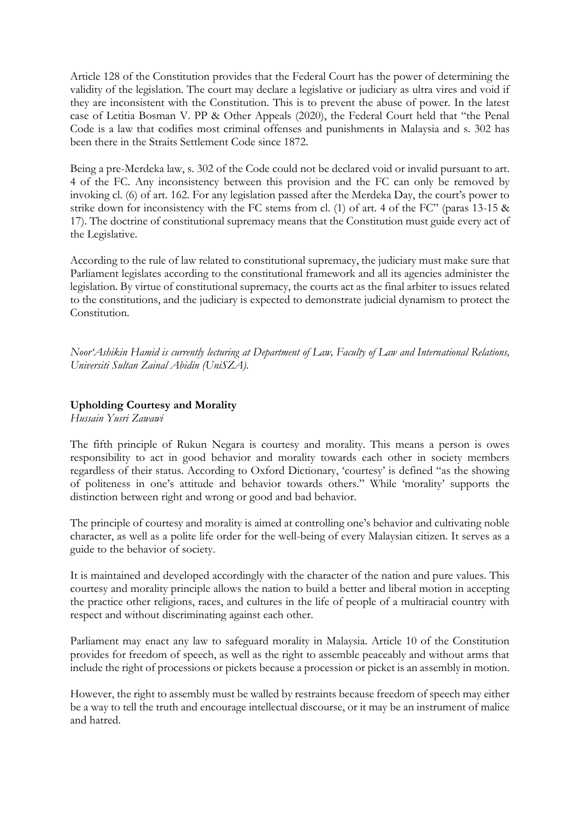Article 128 of the Constitution provides that the Federal Court has the power of determining the validity of the legislation. The court may declare a legislative or judiciary as ultra vires and void if they are inconsistent with the Constitution. This is to prevent the abuse of power. In the latest case of Letitia Bosman V. PP & Other Appeals (2020), the Federal Court held that "the Penal Code is a law that codifies most criminal offenses and punishments in Malaysia and s. 302 has been there in the Straits Settlement Code since 1872.

Being a pre-Merdeka law, s. 302 of the Code could not be declared void or invalid pursuant to art. 4 of the FC. Any inconsistency between this provision and the FC can only be removed by invoking cl. (6) of art. 162. For any legislation passed after the Merdeka Day, the court's power to strike down for inconsistency with the FC stems from cl. (1) of art. 4 of the FC" (paras 13-15 & 17). The doctrine of constitutional supremacy means that the Constitution must guide every act of the Legislative.

According to the rule of law related to constitutional supremacy, the judiciary must make sure that Parliament legislates according to the constitutional framework and all its agencies administer the legislation. By virtue of constitutional supremacy, the courts act as the final arbiter to issues related to the constitutions, and the judiciary is expected to demonstrate judicial dynamism to protect the Constitution.

*Noor'Ashikin Hamid is currently lecturing at Department of Law, Faculty of Law and International Relations, Universiti Sultan Zainal Abidin (UniSZA).*

### **Upholding Courtesy and Morality**

*Hussain Yusri Zawawi*

The fifth principle of Rukun Negara is courtesy and morality. This means a person is owes responsibility to act in good behavior and morality towards each other in society members regardless of their status. According to Oxford Dictionary, 'courtesy' is defined "as the showing of politeness in one's attitude and behavior towards others." While 'morality' supports the distinction between right and wrong or good and bad behavior.

The principle of courtesy and morality is aimed at controlling one's behavior and cultivating noble character, as well as a polite life order for the well-being of every Malaysian citizen. It serves as a guide to the behavior of society.

It is maintained and developed accordingly with the character of the nation and pure values. This courtesy and morality principle allows the nation to build a better and liberal motion in accepting the practice other religions, races, and cultures in the life of people of a multiracial country with respect and without discriminating against each other.

Parliament may enact any law to safeguard morality in Malaysia. Article 10 of the Constitution provides for freedom of speech, as well as the right to assemble peaceably and without arms that include the right of processions or pickets because a procession or picket is an assembly in motion.

However, the right to assembly must be walled by restraints because freedom of speech may either be a way to tell the truth and encourage intellectual discourse, or it may be an instrument of malice and hatred.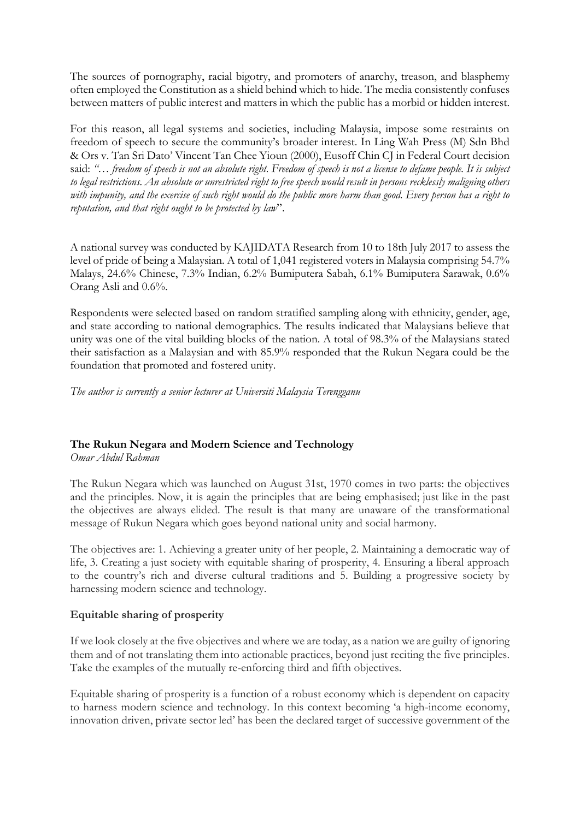The sources of pornography, racial bigotry, and promoters of anarchy, treason, and blasphemy often employed the Constitution as a shield behind which to hide. The media consistently confuses between matters of public interest and matters in which the public has a morbid or hidden interest.

For this reason, all legal systems and societies, including Malaysia, impose some restraints on freedom of speech to secure the community's broader interest. In Ling Wah Press (M) Sdn Bhd & Ors v. Tan Sri Dato' Vincent Tan Chee Yioun (2000), Eusoff Chin CJ in Federal Court decision said: *"… freedom of speech is not an absolute right. Freedom of speech is not a license to defame people. It is subject to legal restrictions. An absolute or unrestricted right to free speech would result in persons recklessly maligning others with impunity, and the exercise of such right would do the public more harm than good. Every person has a right to reputation, and that right ought to be protected by law*".

A national survey was conducted by KAJIDATA Research from 10 to 18th July 2017 to assess the level of pride of being a Malaysian. A total of 1,041 registered voters in Malaysia comprising 54.7% Malays, 24.6% Chinese, 7.3% Indian, 6.2% Bumiputera Sabah, 6.1% Bumiputera Sarawak, 0.6% Orang Asli and 0.6%.

Respondents were selected based on random stratified sampling along with ethnicity, gender, age, and state according to national demographics. The results indicated that Malaysians believe that unity was one of the vital building blocks of the nation. A total of 98.3% of the Malaysians stated their satisfaction as a Malaysian and with 85.9% responded that the Rukun Negara could be the foundation that promoted and fostered unity.

*The author is currently a senior lecturer at Universiti Malaysia Terengganu*

## **The Rukun Negara and Modern Science and Technology**

*Omar Abdul Rahman*

The Rukun Negara which was launched on August 31st, 1970 comes in two parts: the objectives and the principles. Now, it is again the principles that are being emphasised; just like in the past the objectives are always elided. The result is that many are unaware of the transformational message of Rukun Negara which goes beyond national unity and social harmony.

The objectives are: 1. Achieving a greater unity of her people, 2. Maintaining a democratic way of life, 3. Creating a just society with equitable sharing of prosperity, 4. Ensuring a liberal approach to the country's rich and diverse cultural traditions and 5. Building a progressive society by harnessing modern science and technology.

## **Equitable sharing of prosperity**

If we look closely at the five objectives and where we are today, as a nation we are guilty of ignoring them and of not translating them into actionable practices, beyond just reciting the five principles. Take the examples of the mutually re-enforcing third and fifth objectives.

Equitable sharing of prosperity is a function of a robust economy which is dependent on capacity to harness modern science and technology. In this context becoming 'a high-income economy, innovation driven, private sector led' has been the declared target of successive government of the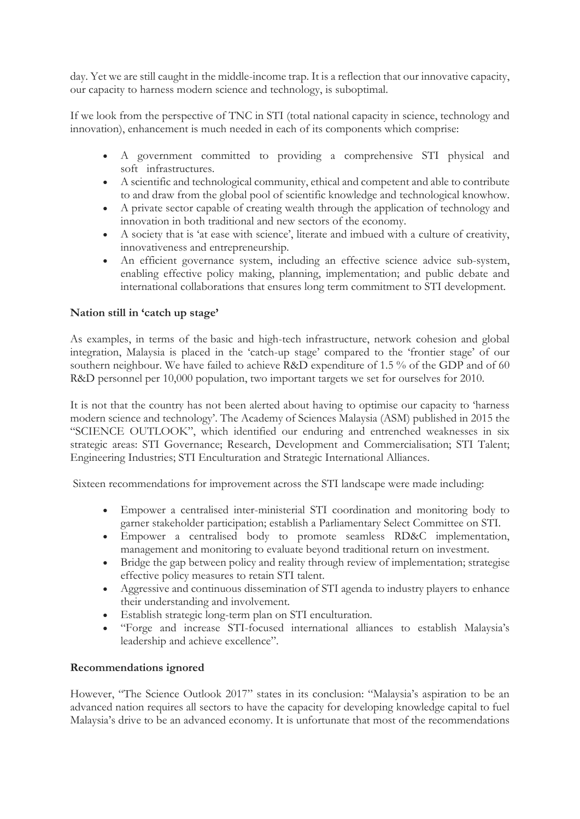day. Yet we are still caught in the middle-income trap. It is a reflection that our innovative capacity, our capacity to harness modern science and technology, is suboptimal.

If we look from the perspective of TNC in STI (total national capacity in science, technology and innovation), enhancement is much needed in each of its components which comprise:

- A government committed to providing a comprehensive STI physical and soft infrastructures.
- A scientific and technological community, ethical and competent and able to contribute to and draw from the global pool of scientific knowledge and technological knowhow.
- A private sector capable of creating wealth through the application of technology and innovation in both traditional and new sectors of the economy.
- A society that is 'at ease with science', literate and imbued with a culture of creativity, innovativeness and entrepreneurship.
- An efficient governance system, including an effective science advice sub-system, enabling effective policy making, planning, implementation; and public debate and international collaborations that ensures long term commitment to STI development.

## **Nation still in 'catch up stage'**

As examples, in terms of the basic and high-tech infrastructure, network cohesion and global integration, Malaysia is placed in the 'catch-up stage' compared to the 'frontier stage' of our southern neighbour. We have failed to achieve R&D expenditure of 1.5 % of the GDP and of 60 R&D personnel per 10,000 population, two important targets we set for ourselves for 2010.

It is not that the country has not been alerted about having to optimise our capacity to 'harness modern science and technology'. The Academy of Sciences Malaysia (ASM) published in 2015 the "SCIENCE OUTLOOK", which identified our enduring and entrenched weaknesses in six strategic areas: STI Governance; Research, Development and Commercialisation; STI Talent; Engineering Industries; STI Enculturation and Strategic International Alliances.

Sixteen recommendations for improvement across the STI landscape were made including:

- Empower a centralised inter-ministerial STI coordination and monitoring body to garner stakeholder participation; establish a Parliamentary Select Committee on STI.
- Empower a centralised body to promote seamless RD&C implementation, management and monitoring to evaluate beyond traditional return on investment.
- Bridge the gap between policy and reality through review of implementation; strategise effective policy measures to retain STI talent.
- Aggressive and continuous dissemination of STI agenda to industry players to enhance their understanding and involvement.
- Establish strategic long-term plan on STI enculturation.
- "Forge and increase STI-focused international alliances to establish Malaysia's leadership and achieve excellence".

#### **Recommendations ignored**

However, "The Science Outlook 2017" states in its conclusion: "Malaysia's aspiration to be an advanced nation requires all sectors to have the capacity for developing knowledge capital to fuel Malaysia's drive to be an advanced economy. It is unfortunate that most of the recommendations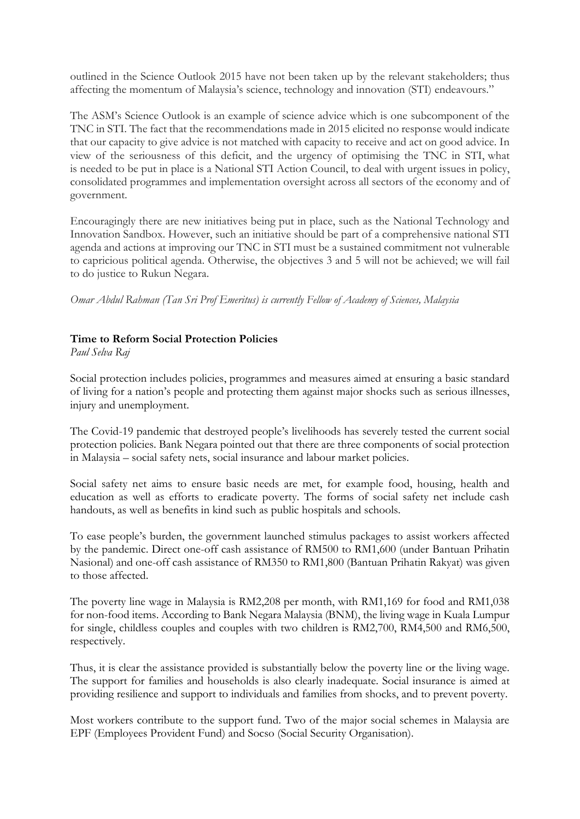outlined in the Science Outlook 2015 have not been taken up by the relevant stakeholders; thus affecting the momentum of Malaysia's science, technology and innovation (STI) endeavours."

The ASM's Science Outlook is an example of science advice which is one subcomponent of the TNC in STI. The fact that the recommendations made in 2015 elicited no response would indicate that our capacity to give advice is not matched with capacity to receive and act on good advice. In view of the seriousness of this deficit, and the urgency of optimising the TNC in STI, what is needed to be put in place is a National STI Action Council, to deal with urgent issues in policy, consolidated programmes and implementation oversight across all sectors of the economy and of government.

Encouragingly there are new initiatives being put in place, such as the National Technology and Innovation Sandbox. However, such an initiative should be part of a comprehensive national STI agenda and actions at improving our TNC in STI must be a sustained commitment not vulnerable to capricious political agenda. Otherwise, the objectives 3 and 5 will not be achieved; we will fail to do justice to Rukun Negara.

*Omar Abdul Rahman (Tan Sri Prof Emeritus) is currently Fellow of Academy of Sciences, Malaysia*

## **Time to Reform Social Protection Policies**

*Paul Selva Raj*

Social protection includes policies, programmes and measures aimed at ensuring a basic standard of living for a nation's people and protecting them against major shocks such as serious illnesses, injury and unemployment.

The Covid-19 pandemic that destroyed people's livelihoods has severely tested the current social protection policies. Bank Negara pointed out that there are three components of social protection in Malaysia – social safety nets, social insurance and labour market policies.

Social safety net aims to ensure basic needs are met, for example food, housing, health and education as well as efforts to eradicate poverty. The forms of social safety net include cash handouts, as well as benefits in kind such as public hospitals and schools.

To ease people's burden, the government launched stimulus packages to assist workers affected by the pandemic. Direct one-off cash assistance of RM500 to RM1,600 (under Bantuan Prihatin Nasional) and one-off cash assistance of RM350 to RM1,800 (Bantuan Prihatin Rakyat) was given to those affected.

The poverty line wage in Malaysia is RM2,208 per month, with RM1,169 for food and RM1,038 for non-food items. According to Bank Negara Malaysia (BNM), the living wage in Kuala Lumpur for single, childless couples and couples with two children is RM2,700, RM4,500 and RM6,500, respectively.

Thus, it is clear the assistance provided is substantially below the poverty line or the living wage. The support for families and households is also clearly inadequate. Social insurance is aimed at providing resilience and support to individuals and families from shocks, and to prevent poverty.

Most workers contribute to the support fund. Two of the major social schemes in Malaysia are EPF (Employees Provident Fund) and Socso (Social Security Organisation).